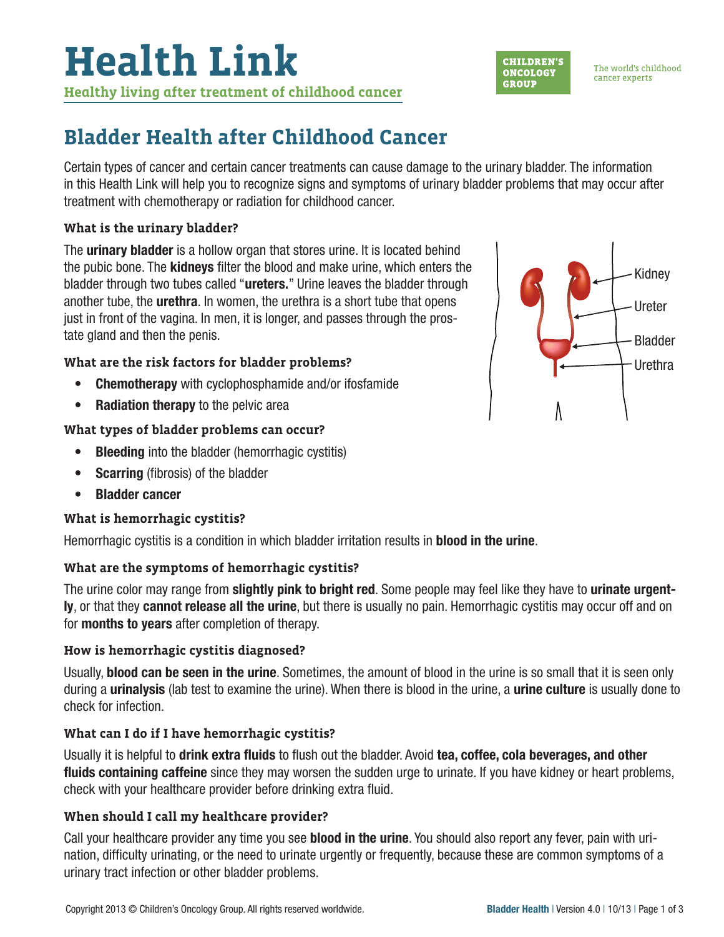## **Bladder Health after Childhood Cancer**

Certain types of cancer and certain cancer treatments can cause damage to the urinary bladder. The information in this Health Link will help you to recognize signs and symptoms of urinary bladder problems that may occur after treatment with chemotherapy or radiation for childhood cancer.

#### **What is the urinary bladder?**

The **urinary bladder** is a hollow organ that stores urine. It is located behind the pubic bone. The kidneys filter the blood and make urine, which enters the bladder through two tubes called "**ureters.**" Urine leaves the bladder through another tube, the urethra. In women, the urethra is a short tube that opens just in front of the vagina. In men, it is longer, and passes through the prostate gland and then the penis.

#### **What are the risk factors for bladder problems?**

- Chemotherapy with cyclophosphamide and/or ifosfamide
- Radiation therapy to the pelvic area

#### **What types of bladder problems can occur?**

- Bleeding into the bladder (hemorrhagic cystitis)
- **Scarring** (fibrosis) of the bladder
- Bladder cancer

### **What is hemorrhagic cystitis?**

Hemorrhagic cystitis is a condition in which bladder irritation results in **blood in the urine**.

#### **What are the symptoms of hemorrhagic cystitis?**

The urine color may range from **slightly pink to bright red**. Some people may feel like they have to **urinate urgent**ly, or that they cannot release all the urine, but there is usually no pain. Hemorrhagic cystitis may occur off and on for months to years after completion of therapy.

#### **How is hemorrhagic cystitis diagnosed?**

Usually, **blood can be seen in the urine**. Sometimes, the amount of blood in the urine is so small that it is seen only during a **urinalysis** (lab test to examine the urine). When there is blood in the urine, a **urine culture** is usually done to check for infection.

### **What can I do if I have hemorrhagic cystitis?**

Usually it is helpful to drink extra fluids to flush out the bladder. Avoid tea, coffee, cola beverages, and other fluids containing caffeine since they may worsen the sudden urge to urinate. If you have kidney or heart problems, check with your healthcare provider before drinking extra fluid.

#### **When should I call my healthcare provider?**

Call your healthcare provider any time you see **blood in the urine**. You should also report any fever, pain with urination, difficulty urinating, or the need to urinate urgently or frequently, because these are common symptoms of a urinary tract infection or other bladder problems.



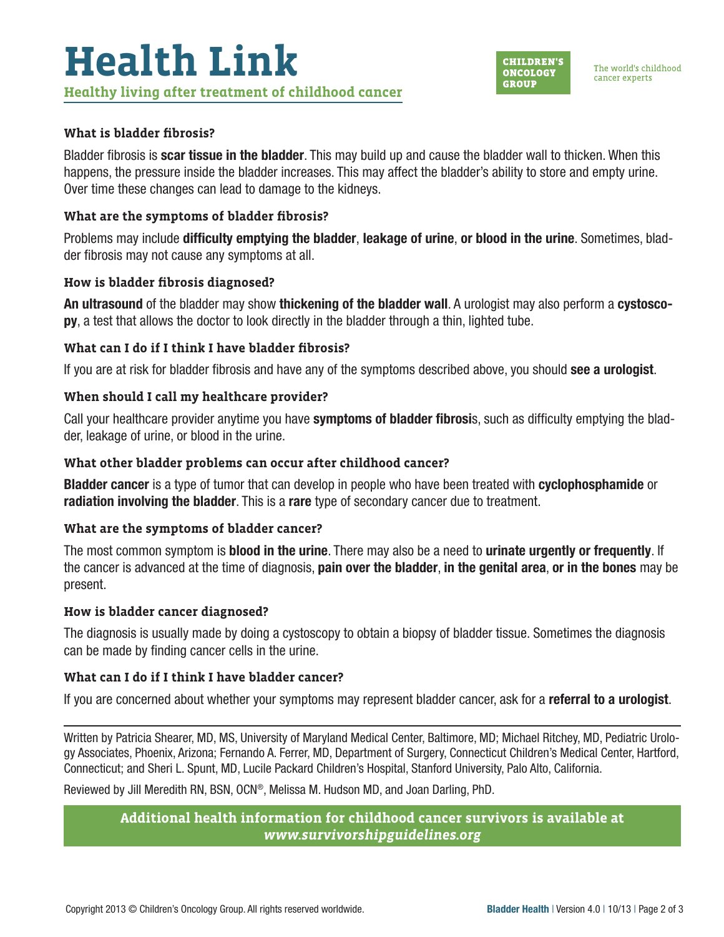#### **What is bladder fibrosis?**

Bladder fibrosis is **scar tissue in the bladder**. This may build up and cause the bladder wall to thicken. When this happens, the pressure inside the bladder increases. This may affect the bladder's ability to store and empty urine. Over time these changes can lead to damage to the kidneys.

#### **What are the symptoms of bladder fibrosis?**

Problems may include difficulty emptying the bladder, leakage of urine, or blood in the urine. Sometimes, bladder fibrosis may not cause any symptoms at all.

#### **How is bladder fibrosis diagnosed?**

An ultrasound of the bladder may show thickening of the bladder wall. A urologist may also perform a cystoscopy, a test that allows the doctor to look directly in the bladder through a thin, lighted tube.

#### **What can I do if I think I have bladder fibrosis?**

If you are at risk for bladder fibrosis and have any of the symptoms described above, you should **see a urologist**.

#### **When should I call my healthcare provider?**

Call your healthcare provider anytime you have symptoms of bladder fibrosis, such as difficulty emptying the bladder, leakage of urine, or blood in the urine.

#### **What other bladder problems can occur after childhood cancer?**

**Bladder cancer** is a type of tumor that can develop in people who have been treated with **cyclophosphamide** or radiation involving the bladder. This is a rare type of secondary cancer due to treatment.

#### **What are the symptoms of bladder cancer?**

The most common symptom is **blood in the urine**. There may also be a need to **urinate urgently or frequently**. If the cancer is advanced at the time of diagnosis, pain over the bladder, in the genital area, or in the bones may be present.

#### **How is bladder cancer diagnosed?**

The diagnosis is usually made by doing a cystoscopy to obtain a biopsy of bladder tissue. Sometimes the diagnosis can be made by finding cancer cells in the urine.

#### **What can I do if I think I have bladder cancer?**

If you are concerned about whether your symptoms may represent bladder cancer, ask for a referral to a urologist.

Written by Patricia Shearer, MD, MS, University of Maryland Medical Center, Baltimore, MD; Michael Ritchey, MD, Pediatric Urology Associates, Phoenix, Arizona; Fernando A. Ferrer, MD, Department of Surgery, Connecticut Children's Medical Center, Hartford, Connecticut; and Sheri L. Spunt, MD, Lucile Packard Children's Hospital, Stanford University, Palo Alto, California.

Reviewed by Jill Meredith RN, BSN, OCN®, Melissa M. Hudson MD, and Joan Darling, PhD.

**Additional health information for childhood cancer survivors is available at**  *[www.survivorshipguidelines.org](http://www.survivorshipguidelines.org)*